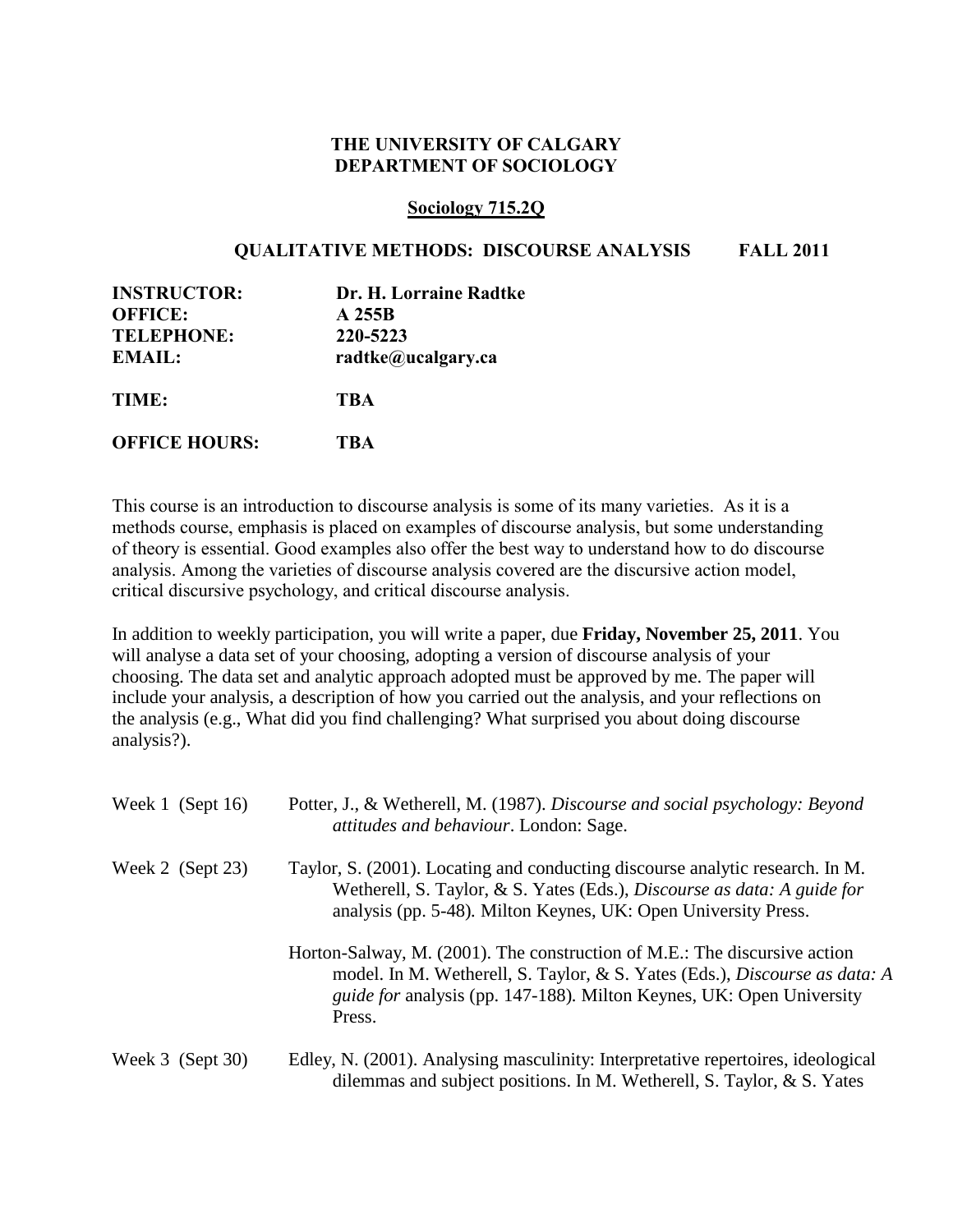## **THE UNIVERSITY OF CALGARY DEPARTMENT OF SOCIOLOGY**

## **Sociology 715.2Q**

## **QUALITATIVE METHODS: DISCOURSE ANALYSIS FALL 2011**

| <b>INSTRUCTOR:</b>   | Dr. H. Lorraine Radtke |
|----------------------|------------------------|
| <b>OFFICE:</b>       | A 255B                 |
| <b>TELEPHONE:</b>    | 220-5223               |
| <b>EMAIL:</b>        | radtke@ucalgary.ca     |
| TIME:                | <b>TBA</b>             |
| <b>OFFICE HOURS:</b> | <b>TBA</b>             |

This course is an introduction to discourse analysis is some of its many varieties. As it is a methods course, emphasis is placed on examples of discourse analysis, but some understanding of theory is essential. Good examples also offer the best way to understand how to do discourse analysis. Among the varieties of discourse analysis covered are the discursive action model, critical discursive psychology, and critical discourse analysis.

In addition to weekly participation, you will write a paper, due **Friday, November 25, 2011**. You will analyse a data set of your choosing, adopting a version of discourse analysis of your choosing. The data set and analytic approach adopted must be approved by me. The paper will include your analysis, a description of how you carried out the analysis, and your reflections on the analysis (e.g., What did you find challenging? What surprised you about doing discourse analysis?).

| Week 1 (Sept $16$ )   | Potter, J., & Wetherell, M. (1987). Discourse and social psychology: Beyond<br>attitudes and behaviour. London: Sage.                                                                                                                                   |
|-----------------------|---------------------------------------------------------------------------------------------------------------------------------------------------------------------------------------------------------------------------------------------------------|
| Week 2 $(Sept 23)$    | Taylor, S. (2001). Locating and conducting discourse analytic research. In M.<br>Wetherell, S. Taylor, & S. Yates (Eds.), <i>Discourse as data: A guide for</i><br>analysis (pp. 5-48). Milton Keynes, UK: Open University Press.                       |
|                       | Horton-Salway, M. (2001). The construction of M.E.: The discursive action<br>model. In M. Wetherell, S. Taylor, & S. Yates (Eds.), <i>Discourse as data: A</i><br><i>guide for analysis (pp. 147-188). Milton Keynes, UK: Open University</i><br>Press. |
| Week $3$ (Sept $30$ ) | Edley, N. (2001). Analysing masculinity: Interpretative repertoires, ideological<br>dilemmas and subject positions. In M. Wetherell, S. Taylor, $& S.$ Yates                                                                                            |